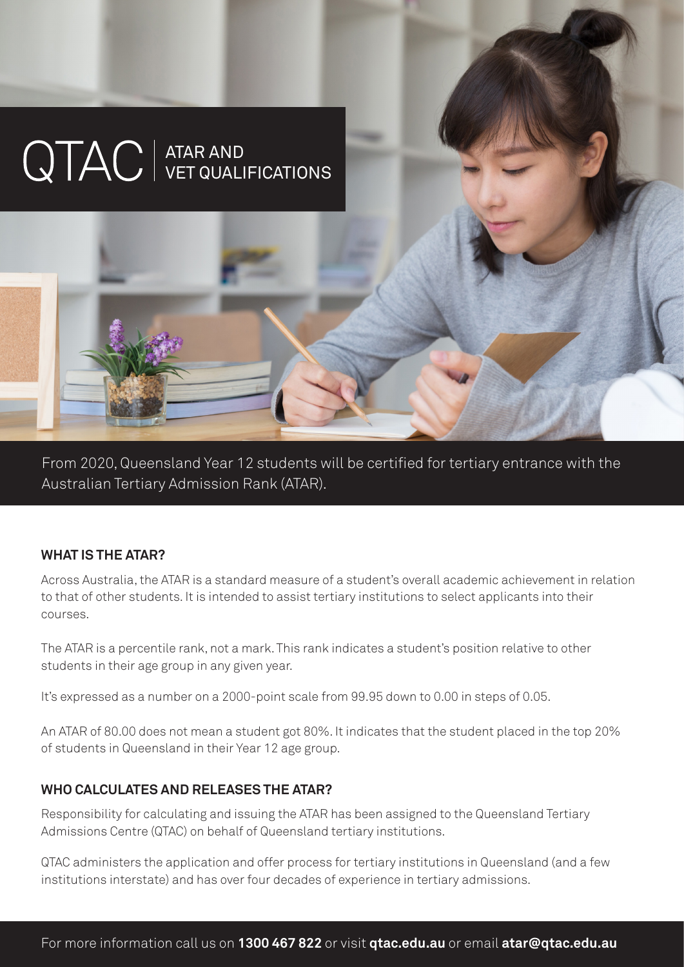# ATAR AND VET QUALIFICATIONS

From 2020, Queensland Year 12 students will be certified for tertiary entrance with the Australian Tertiary Admission Rank (ATAR).

#### **WHAT IS THE ATAR?**

Across Australia, the ATAR is a standard measure of a student's overall academic achievement in relation to that of other students. It is intended to assist tertiary institutions to select applicants into their courses.

The ATAR is a percentile rank, not a mark. This rank indicates a student's position relative to other students in their age group in any given year.

It's expressed as a number on a 2000-point scale from 99.95 down to 0.00 in steps of 0.05.

An ATAR of 80.00 does not mean a student got 80%. It indicates that the student placed in the top 20% of students in Queensland in their Year 12 age group.

#### **WHO CALCULATES AND RELEASES THE ATAR?**

Responsibility for calculating and issuing the ATAR has been assigned to the Queensland Tertiary Admissions Centre (QTAC) on behalf of Queensland tertiary institutions.

QTAC administers the application and offer process for tertiary institutions in Queensland (and a few institutions interstate) and has over four decades of experience in tertiary admissions.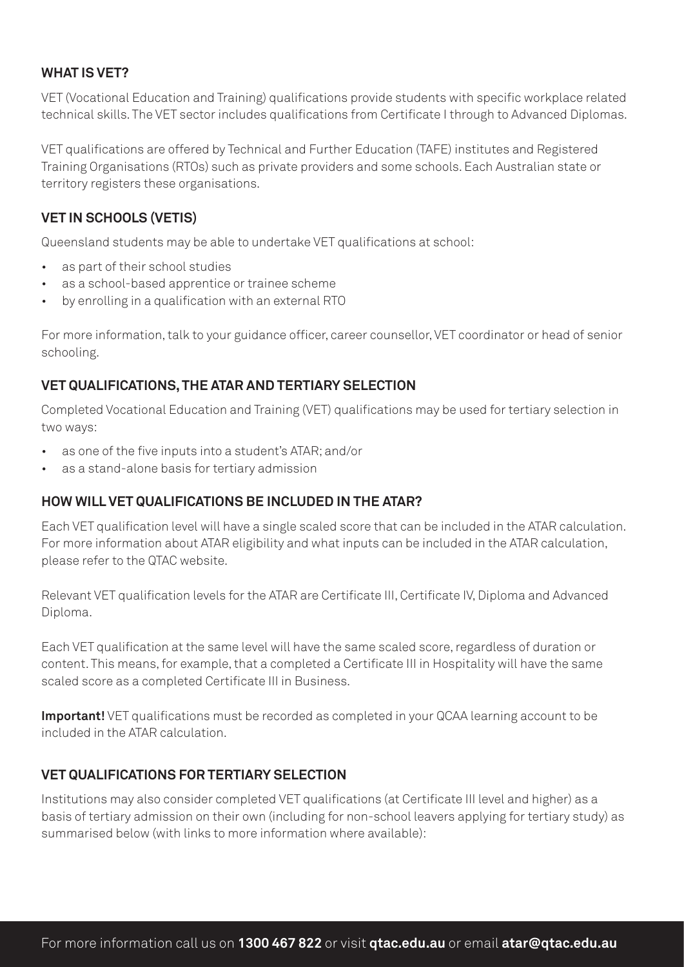#### **WHAT IS VET?**

VET (Vocational Education and Training) qualifications provide students with specific workplace related technical skills. The VET sector includes qualifications from Certificate I through to Advanced Diplomas.

VET qualifications are offered by Technical and Further Education (TAFE) institutes and Registered Training Organisations (RTOs) such as private providers and some schools. Each Australian state or territory registers these organisations.

## **VET IN SCHOOLS (VETIS)**

Queensland students may be able to undertake VET qualifications at school:

- as part of their school studies
- as a school-based apprentice or trainee scheme
- by enrolling in a qualification with an external RTO

For more information, talk to your guidance officer, career counsellor, VET coordinator or head of senior schooling.

### **VET QUALIFICATIONS, THE ATAR AND TERTIARY SELECTION**

Completed Vocational Education and Training (VET) qualifications may be used for tertiary selection in two ways:

- as one of the five inputs into a student's ATAR; and/or
- as a stand-alone basis for tertiary admission

### **HOW WILL VET QUALIFICATIONS BE INCLUDED IN THE ATAR?**

Each VET qualification level will have a single scaled score that can be included in the ATAR calculation. For more information about ATAR eligibility and what inputs can be included in the ATAR calculation, please refer to the QTAC website.

Relevant VET qualification levels for the ATAR are Certificate III, Certificate IV, Diploma and Advanced Diploma.

Each VET qualification at the same level will have the same scaled score, regardless of duration or content. This means, for example, that a completed a Certificate III in Hospitality will have the same scaled score as a completed Certificate III in Business.

**Important!** VET qualifications must be recorded as completed in your QCAA learning account to be included in the ATAR calculation.

### **VET QUALIFICATIONS FOR TERTIARY SELECTION**

Institutions may also consider completed VET qualifications (at Certificate III level and higher) as a basis of tertiary admission on their own (including for non-school leavers applying for tertiary study) as summarised below (with links to more information where available):